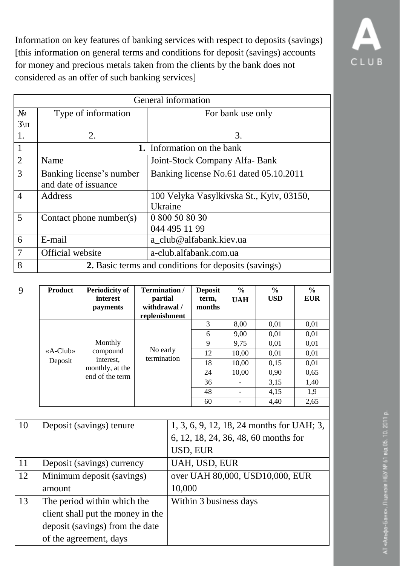Information on key features of banking services with respect to deposits (savings) [this information on general terms and conditions for deposit (savings) accounts for money and precious metals taken from the clients by the bank does not considered as an offer of such banking services]



| 9  | <b>Product</b>             | <b>Periodicity of</b><br>interest<br>payments | Termination /<br>partial<br>withdrawal /<br>replenishment                                     |        | <b>Deposit</b><br>term,<br>months | $\frac{0}{0}$<br><b>UAH</b> | $\frac{6}{6}$<br><b>USD</b>     | $\frac{6}{6}$<br><b>EUR</b> |
|----|----------------------------|-----------------------------------------------|-----------------------------------------------------------------------------------------------|--------|-----------------------------------|-----------------------------|---------------------------------|-----------------------------|
|    |                            |                                               |                                                                                               |        | 3                                 | 8,00                        | 0,01                            | 0,01                        |
|    |                            |                                               |                                                                                               |        | 6                                 | 9,00                        | 0,01                            | 0,01                        |
|    |                            | Monthly                                       |                                                                                               |        | 9                                 | 9,75                        | 0,01                            | 0,01                        |
|    | $\langle A - Club \rangle$ | compound<br>interest,                         | No early<br>termination                                                                       |        | 12                                | 10,00                       | 0,01                            | 0,01                        |
|    | Deposit                    | monthly, at the                               |                                                                                               |        | 18                                | 10,00                       | 0,15                            | 0,01                        |
|    |                            | end of the term                               |                                                                                               |        | 24                                | 10,00                       | 0,90                            | 0,65                        |
|    |                            |                                               |                                                                                               |        | 36                                |                             | 3,15                            | 1,40                        |
|    |                            |                                               |                                                                                               |        | 48                                | $\equiv$                    | 4,15                            | 1,9                         |
|    |                            |                                               |                                                                                               |        | 60                                | $\overline{\phantom{0}}$    | 4,40                            | 2,65                        |
| 10 | Deposit (savings) tenure   |                                               | 1, 3, 6, 9, 12, 18, 24 months for UAH; 3,<br>6, 12, 18, 24, 36, 48, 60 months for<br>USD, EUR |        |                                   |                             |                                 |                             |
| 11 | Deposit (savings) currency |                                               | UAH, USD, EUR                                                                                 |        |                                   |                             |                                 |                             |
| 12 |                            | Minimum deposit (savings)                     |                                                                                               |        |                                   |                             | over UAH 80,000, USD10,000, EUR |                             |
|    | amount                     |                                               |                                                                                               | 10,000 |                                   |                             |                                 |                             |
| 13 |                            | The period within which the                   |                                                                                               |        | Within 3 business days            |                             |                                 |                             |
|    |                            | client shall put the money in the             |                                                                                               |        |                                   |                             |                                 |                             |
|    |                            | deposit (savings) from the date               |                                                                                               |        |                                   |                             |                                 |                             |
|    | of the agreement, days     |                                               |                                                                                               |        |                                   |                             |                                 |                             |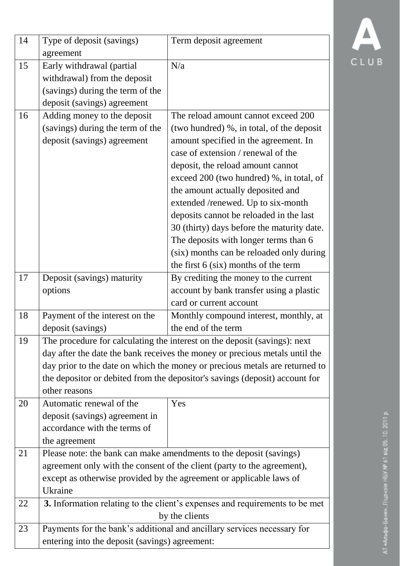| 14 | Type of deposit (savings)<br>agreement                                                                                                                                                                                                                                                                                                  | Term deposit agreement                                                                                                                                                                                                                                                                                                                                                                                                                                                                                                                              |  |
|----|-----------------------------------------------------------------------------------------------------------------------------------------------------------------------------------------------------------------------------------------------------------------------------------------------------------------------------------------|-----------------------------------------------------------------------------------------------------------------------------------------------------------------------------------------------------------------------------------------------------------------------------------------------------------------------------------------------------------------------------------------------------------------------------------------------------------------------------------------------------------------------------------------------------|--|
| 15 | Early withdrawal (partial<br>withdrawal) from the deposit<br>(savings) during the term of the<br>deposit (savings) agreement                                                                                                                                                                                                            | N/a                                                                                                                                                                                                                                                                                                                                                                                                                                                                                                                                                 |  |
| 16 | Adding money to the deposit<br>(savings) during the term of the<br>deposit (savings) agreement                                                                                                                                                                                                                                          | The reload amount cannot exceed 200<br>(two hundred) %, in total, of the deposit<br>amount specified in the agreement. In<br>case of extension / renewal of the<br>deposit, the reload amount cannot<br>exceed 200 (two hundred) %, in total, of<br>the amount actually deposited and<br>extended /renewed. Up to six-month<br>deposits cannot be reloaded in the last<br>30 (thirty) days before the maturity date.<br>The deposits with longer terms than 6<br>(six) months can be reloaded only during<br>the first $6$ (six) months of the term |  |
| 17 | Deposit (savings) maturity<br>options                                                                                                                                                                                                                                                                                                   | By crediting the money to the current<br>account by bank transfer using a plastic<br>card or current account                                                                                                                                                                                                                                                                                                                                                                                                                                        |  |
| 18 | Payment of the interest on the<br>deposit (savings)                                                                                                                                                                                                                                                                                     | Monthly compound interest, monthly, at<br>the end of the term                                                                                                                                                                                                                                                                                                                                                                                                                                                                                       |  |
| 19 | The procedure for calculating the interest on the deposit (savings): next<br>day after the date the bank receives the money or precious metals until the<br>day prior to the date on which the money or precious metals are returned to<br>the depositor or debited from the depositor's savings (deposit) account for<br>other reasons |                                                                                                                                                                                                                                                                                                                                                                                                                                                                                                                                                     |  |
| 20 | Automatic renewal of the<br>deposit (savings) agreement in<br>accordance with the terms of<br>the agreement                                                                                                                                                                                                                             | Yes                                                                                                                                                                                                                                                                                                                                                                                                                                                                                                                                                 |  |
| 21 | Please note: the bank can make amendments to the deposit (savings)<br>agreement only with the consent of the client (party to the agreement),<br>except as otherwise provided by the agreement or applicable laws of<br>Ukraine                                                                                                         |                                                                                                                                                                                                                                                                                                                                                                                                                                                                                                                                                     |  |
| 22 |                                                                                                                                                                                                                                                                                                                                         | 3. Information relating to the client's expenses and requirements to be met                                                                                                                                                                                                                                                                                                                                                                                                                                                                         |  |
| 23 | by the clients<br>Payments for the bank's additional and ancillary services necessary for<br>entering into the deposit (savings) agreement:                                                                                                                                                                                             |                                                                                                                                                                                                                                                                                                                                                                                                                                                                                                                                                     |  |

 $\overline{\Delta}$ 

CLUB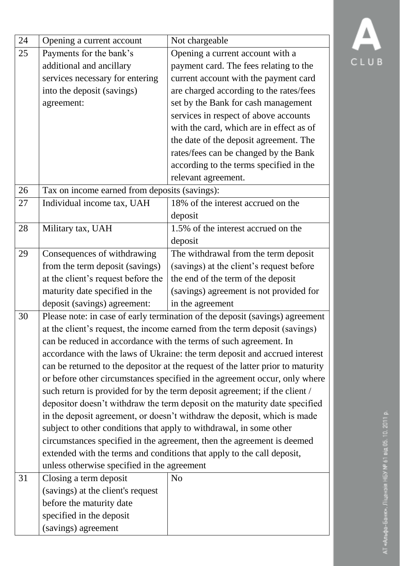| 24 | Opening a current account                                                  | Not chargeable                                                                    |  |  |  |  |  |
|----|----------------------------------------------------------------------------|-----------------------------------------------------------------------------------|--|--|--|--|--|
| 25 | Payments for the bank's                                                    | Opening a current account with a                                                  |  |  |  |  |  |
|    | additional and ancillary                                                   | payment card. The fees relating to the                                            |  |  |  |  |  |
|    | services necessary for entering                                            | current account with the payment card                                             |  |  |  |  |  |
|    | into the deposit (savings)                                                 | are charged according to the rates/fees                                           |  |  |  |  |  |
|    | agreement:                                                                 | set by the Bank for cash management                                               |  |  |  |  |  |
|    |                                                                            | services in respect of above accounts<br>with the card, which are in effect as of |  |  |  |  |  |
|    |                                                                            |                                                                                   |  |  |  |  |  |
|    |                                                                            | the date of the deposit agreement. The                                            |  |  |  |  |  |
|    |                                                                            | rates/fees can be changed by the Bank                                             |  |  |  |  |  |
|    |                                                                            | according to the terms specified in the                                           |  |  |  |  |  |
|    |                                                                            | relevant agreement.                                                               |  |  |  |  |  |
| 26 | Tax on income earned from deposits (savings):                              |                                                                                   |  |  |  |  |  |
| 27 | Individual income tax, UAH                                                 | 18% of the interest accrued on the                                                |  |  |  |  |  |
|    |                                                                            | deposit                                                                           |  |  |  |  |  |
| 28 | Military tax, UAH                                                          | 1.5% of the interest accrued on the                                               |  |  |  |  |  |
|    |                                                                            | deposit                                                                           |  |  |  |  |  |
| 29 | Consequences of withdrawing                                                | The withdrawal from the term deposit                                              |  |  |  |  |  |
|    | from the term deposit (savings)                                            | (savings) at the client's request before                                          |  |  |  |  |  |
|    | at the client's request before the                                         | the end of the term of the deposit                                                |  |  |  |  |  |
|    | maturity date specified in the                                             | (savings) agreement is not provided for                                           |  |  |  |  |  |
|    | deposit (savings) agreement:                                               | in the agreement                                                                  |  |  |  |  |  |
| 30 |                                                                            | Please note: in case of early termination of the deposit (savings) agreement      |  |  |  |  |  |
|    | at the client's request, the income earned from the term deposit (savings) |                                                                                   |  |  |  |  |  |
|    |                                                                            | can be reduced in accordance with the terms of such agreement. In                 |  |  |  |  |  |
|    | accordance with the laws of Ukraine: the term deposit and accrued interest |                                                                                   |  |  |  |  |  |
|    |                                                                            | can be returned to the depositor at the request of the latter prior to maturity   |  |  |  |  |  |
|    |                                                                            | or before other circumstances specified in the agreement occur, only where        |  |  |  |  |  |
|    | such return is provided for by the term deposit agreement; if the client / |                                                                                   |  |  |  |  |  |
|    |                                                                            | depositor doesn't withdraw the term deposit on the maturity date specified        |  |  |  |  |  |
|    |                                                                            | in the deposit agreement, or doesn't withdraw the deposit, which is made          |  |  |  |  |  |
|    | subject to other conditions that apply to withdrawal, in some other        |                                                                                   |  |  |  |  |  |
|    |                                                                            | circumstances specified in the agreement, then the agreement is deemed            |  |  |  |  |  |
|    | extended with the terms and conditions that apply to the call deposit,     |                                                                                   |  |  |  |  |  |
|    | unless otherwise specified in the agreement                                |                                                                                   |  |  |  |  |  |
| 31 | Closing a term deposit                                                     | N <sub>o</sub>                                                                    |  |  |  |  |  |
|    | (savings) at the client's request                                          |                                                                                   |  |  |  |  |  |
|    | before the maturity date                                                   |                                                                                   |  |  |  |  |  |
|    | specified in the deposit                                                   |                                                                                   |  |  |  |  |  |
|    | (savings) agreement                                                        |                                                                                   |  |  |  |  |  |

## АТ «Альфа-Банк». Ліцензія НБУ № 61 від 05. 10. 2011 р.

 $\overline{\mathbb{F}}$ CLUB